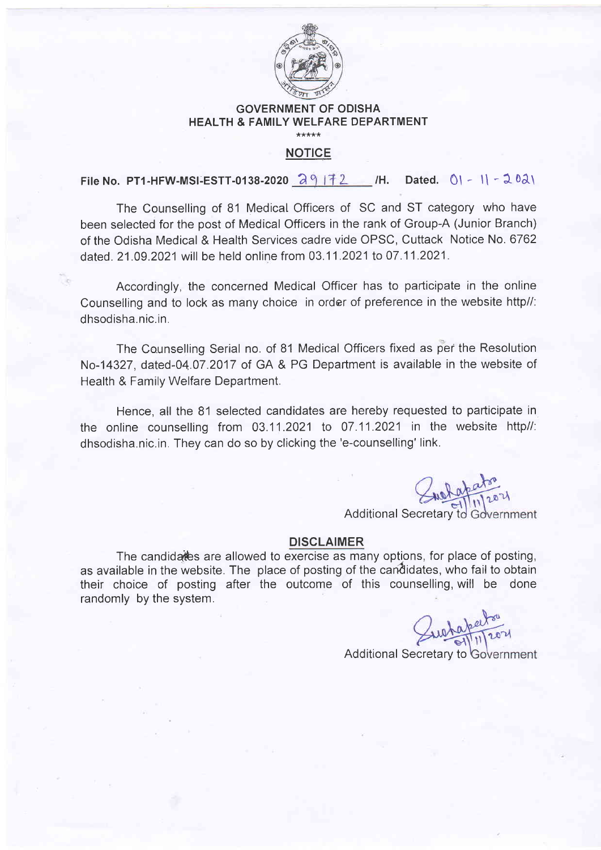

## GOVERNMENT OF ODISHA HEALTH & FAMILY WELFARE DEPARTMENT \*\*\*\*\*

## NOTICE

File No. PT1-HFW-MSI-ESTT-0138-2020  $\partial_1$  | 72 /H. Dated. 0\ - 1\ - 202\

The Counselling of 81 Medicat Officers of SC and ST category who have been selected for the post of Medical Officers in the rank of Group-A (Junior Branch) of the Odisha Medical & Health Services cadre vide OPSC, Cuttack Notice No. 6762 dated. 21.09.2021 will be held online from 03.11.2021 to 07.11.2021.

Accordingly, the concerned Medical Officer has to participate in the online Counselling and to lock as many choice in order of preference in the website http//: dhsodisha.nic.in.

The Counselling Serial no. of 81 Medical Officers fixed as per the Resolution No-14327, dated-04.07.2017 of GA & PG Department is available in the website of Health & Family Welfare Department.

Hence, all the 81 selected candidates are hereby requested to pafticipate in the online counselling from 03.11.2021 to 07.11.2021 in the website http//: dhsodisha.nic.in. They can do so by clicking the'e-counselling' link.

Juelapator

Additional Secretary to Government

## DISCLAIMER

The candidates are allowed to exercise as many options, for place of posting, as available in the website. The place of posting of the candidates, who fail to obtain their choice of posting after the outcome of this counselling, will be done randomly by the system.

wataperton

Additional Secretary to Government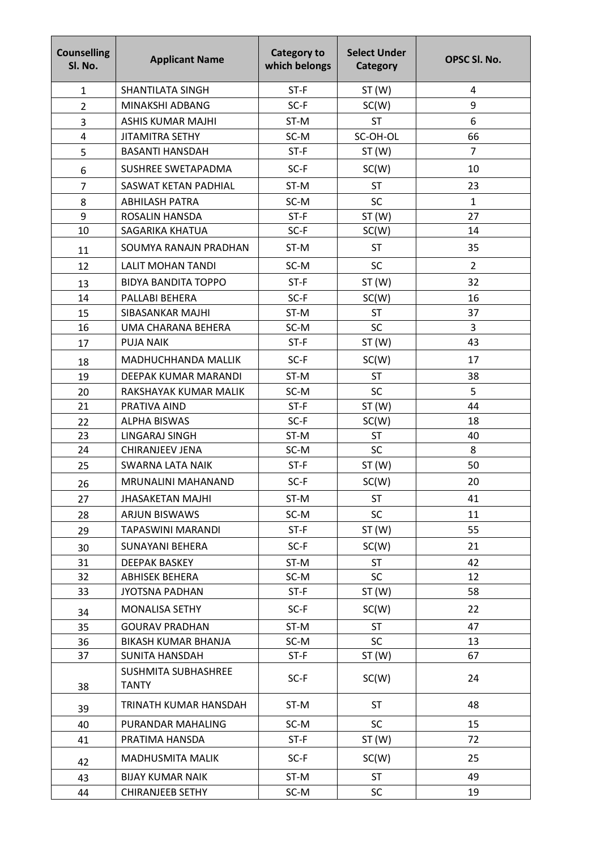| <b>Counselling</b><br>SI. No. | <b>Applicant Name</b>               | <b>Category to</b><br>which belongs | <b>Select Under</b><br>Category | OPSC SI. No.   |
|-------------------------------|-------------------------------------|-------------------------------------|---------------------------------|----------------|
| $\mathbf{1}$                  | SHANTILATA SINGH                    | ST-F                                | ST(W)                           | 4              |
| $\overline{2}$                | MINAKSHI ADBANG                     | SC-F                                | SC(W)                           | 9              |
| 3                             | <b>ASHIS KUMAR MAJHI</b>            | ST-M                                | <b>ST</b>                       | 6              |
| 4                             | <b>JITAMITRA SETHY</b>              | SC-M                                | SC-OH-OL                        | 66             |
| 5                             | <b>BASANTI HANSDAH</b>              | $ST-F$                              | ST(W)                           | $\overline{7}$ |
| 6                             | SUSHREE SWETAPADMA                  | SC-F                                | SC(W)                           | 10             |
| $\overline{7}$                | SASWAT KETAN PADHIAL                | ST-M                                | <b>ST</b>                       | 23             |
| 8                             | <b>ABHILASH PATRA</b>               | SC-M                                | <b>SC</b>                       | $\mathbf{1}$   |
| 9                             | <b>ROSALIN HANSDA</b>               | $ST-F$                              | ST(W)                           | 27             |
| 10                            | SAGARIKA KHATUA                     | $SC-F$                              | SC(W)                           | 14             |
| 11                            | SOUMYA RANAJN PRADHAN               | ST-M                                | <b>ST</b>                       | 35             |
| 12                            | <b>LALIT MOHAN TANDI</b>            | SC-M                                | <b>SC</b>                       | $\overline{2}$ |
| 13                            | <b>BIDYA BANDITA TOPPO</b>          | $ST-F$                              | ST(W)                           | 32             |
| 14                            | PALLABI BEHERA                      | $SC-F$                              | SC(W)                           | 16             |
| 15                            | SIBASANKAR MAJHI                    | ST-M                                | <b>ST</b>                       | 37             |
| 16                            | UMA CHARANA BEHERA                  | SC-M                                | SC                              | 3              |
| 17                            | <b>PUJA NAIK</b>                    | $ST-F$                              | ST(W)                           | 43             |
| 18                            | MADHUCHHANDA MALLIK                 | $SC-F$                              | SC(W)                           | 17             |
| 19                            | DEEPAK KUMAR MARANDI                | ST-M                                | <b>ST</b>                       | 38             |
| 20                            | RAKSHAYAK KUMAR MALIK               | SC-M                                | <b>SC</b>                       | 5              |
| 21                            | PRATIVA AIND                        | $ST-F$                              | ST(W)                           | 44             |
| 22                            | <b>ALPHA BISWAS</b>                 | $SC-F$                              | SC(W)                           | 18             |
| 23                            | LINGARAJ SINGH                      | ST-M                                | <b>ST</b>                       | 40             |
| 24                            | <b>CHIRANJEEV JENA</b>              | SC-M                                | SC                              | 8              |
| 25                            | SWARNA LATA NAIK                    | $ST-F$                              | ST(W)                           | 50             |
| 26                            | MRUNALINI MAHANAND                  | SC-F                                | SC(W)                           | 20             |
| 27                            | <b>JHASAKETAN MAJHI</b>             | ST-M                                | <b>ST</b>                       | 41             |
| 28                            | <b>ARJUN BISWAWS</b>                | SC-M                                | <b>SC</b>                       | 11             |
| 29                            | TAPASWINI MARANDI                   | $ST-F$                              | ST(W)                           | 55             |
| 30                            | <b>SUNAYANI BEHERA</b>              | $SC-F$                              | SC(W)                           | 21             |
| 31                            | <b>DEEPAK BASKEY</b>                | ST-M                                | <b>ST</b>                       | 42             |
| 32                            | <b>ABHISEK BEHERA</b>               | SC-M                                | <b>SC</b>                       | 12             |
| 33                            | <b>JYOTSNA PADHAN</b>               | $ST-F$                              | ST(W)                           | 58             |
| 34                            | <b>MONALISA SETHY</b>               | $SC-F$                              | SC(W)                           | 22             |
| 35                            | <b>GOURAV PRADHAN</b>               | ST-M                                | <b>ST</b>                       | 47             |
| 36                            | BIKASH KUMAR BHANJA                 | SC-M                                | <b>SC</b>                       | 13             |
| 37                            | SUNITA HANSDAH                      | $ST-F$                              | ST(W)                           | 67             |
| 38                            | SUSHMITA SUBHASHREE<br><b>TANTY</b> | $SC-F$                              | SC(W)                           | 24             |
| 39                            | TRINATH KUMAR HANSDAH               | ST-M                                | <b>ST</b>                       | 48             |
| 40                            | PURANDAR MAHALING                   | SC-M                                | <b>SC</b>                       | 15             |
| 41                            | PRATIMA HANSDA                      | $ST-F$                              | ST(W)                           | 72             |
| 42                            | MADHUSMITA MALIK                    | $SC-F$                              | SC(W)                           | 25             |
| 43                            | <b>BIJAY KUMAR NAIK</b>             | ST-M                                | <b>ST</b>                       | 49             |
| 44                            | <b>CHIRANJEEB SETHY</b>             | SC-M                                | <b>SC</b>                       | 19             |